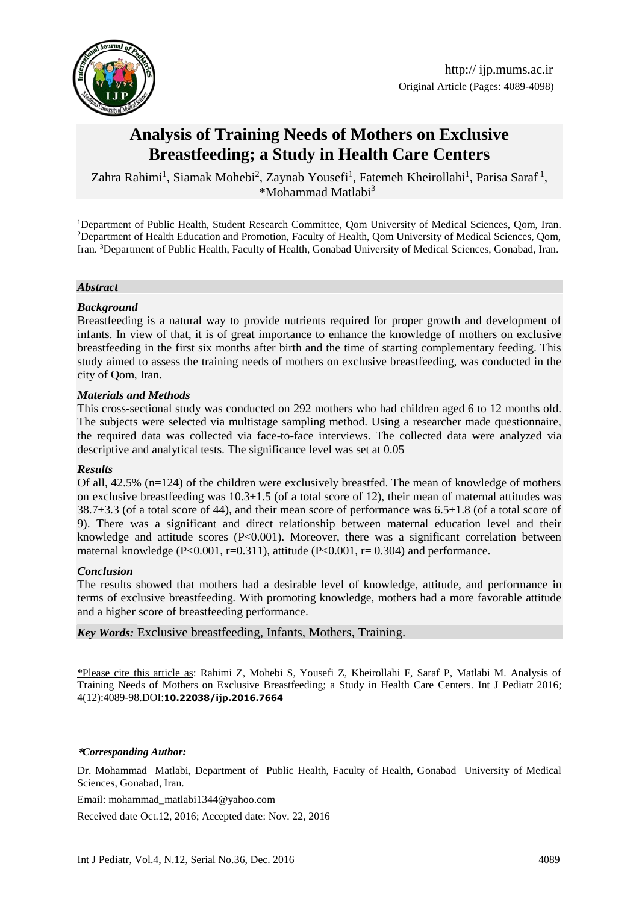

# **Analysis of Training Needs of Mothers on Exclusive Breastfeeding; a Study in Health Care Centers**

Zahra Rahimi<sup>1</sup>, Siamak Mohebi<sup>2</sup>, Zaynab Yousefi<sup>1</sup>, Fatemeh Kheirollahi<sup>1</sup>, Parisa Saraf<sup>1</sup>, \*Mohammad Matlabi<sup>3</sup>

<sup>1</sup>Department of Public Health, Student Research Committee, Qom University of Medical Sciences, Qom, Iran. <sup>2</sup>Department of Health Education and Promotion, Faculty of Health, Qom University of Medical Sciences, Qom, Iran. <sup>3</sup>Department of Public Health, Faculty of Health, Gonabad University of Medical Sciences, Gonabad, Iran.

#### *Abstract*

#### *Background*

Breastfeeding is a natural way to provide nutrients required for proper growth and development of infants. In view of that, it is of great importance to enhance the knowledge of mothers on exclusive breastfeeding in the first six months after birth and the time of starting complementary feeding. This study aimed to assess the training needs of mothers on exclusive breastfeeding, was conducted in the city of Qom, Iran.

#### *Materials and Methods*

This cross-sectional study was conducted on 292 mothers who had children aged 6 to 12 months old. The subjects were selected via multistage sampling method. Using a researcher made questionnaire, the required data was collected via face-to-face interviews. The collected data were analyzed via descriptive and analytical tests. The significance level was set at 0.05

#### *Results*

Of all, 42.5% (n=124) of the children were exclusively breastfed. The mean of knowledge of mothers on exclusive breastfeeding was  $10.3\pm1.5$  (of a total score of 12), their mean of maternal attitudes was 38.7±3.3 (of a total score of 44), and their mean score of performance was 6.5±1.8 (of a total score of 9). There was a significant and direct relationship between maternal education level and their knowledge and attitude scores (P<0.001). Moreover, there was a significant correlation between maternal knowledge (P<0.001, r=0.311), attitude (P<0.001, r=0.304) and performance.

#### *Conclusion*

The results showed that mothers had a desirable level of knowledge, attitude, and performance in terms of exclusive breastfeeding. With promoting knowledge, mothers had a more favorable attitude and a higher score of breastfeeding performance.

*Key Words:* Exclusive breastfeeding, Infants, Mothers, Training.

\*Please cite this article as: Rahimi Z, Mohebi S, Yousefi Z, Kheirollahi F, Saraf P, Matlabi M. Analysis of Training Needs of Mothers on Exclusive Breastfeeding; a Study in Health Care Centers. Int J Pediatr 2016; 4(12):4089-98.DOI:**10.22038/ijp.2016.7664**

**\****Corresponding Author:*

1

Email: mohammad\_matlabi1344@yahoo.com

Received date Oct.12, 2016; Accepted date: Nov. 22, 2016

Dr. Mohammad Matlabi, Department of Public Health, Faculty of Health, Gonabad University of Medical Sciences, Gonabad, Iran.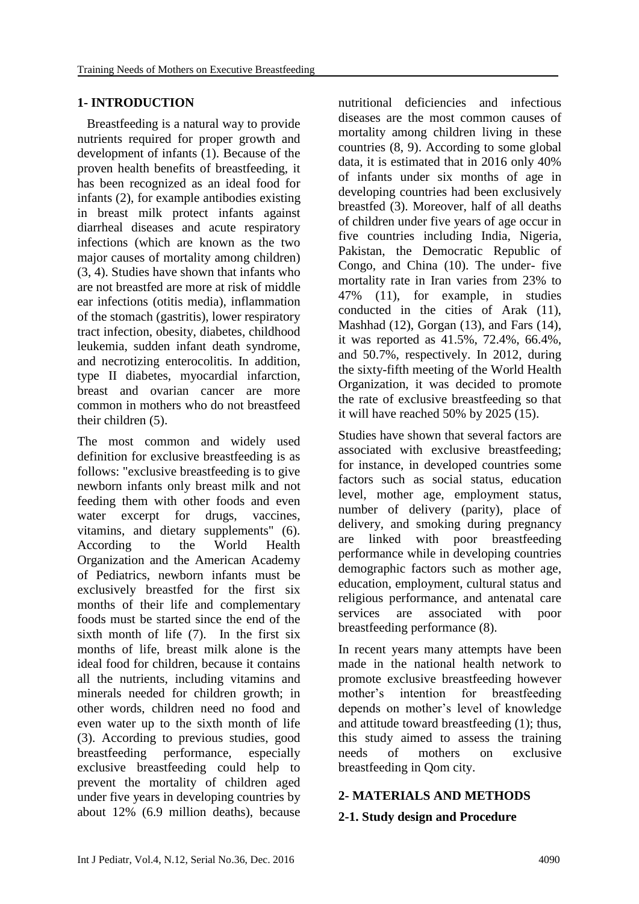### **1- INTRODUCTION**

 Breastfeeding is a natural way to provide nutrients required for proper growth and development of infants (1). Because of the proven health benefits of breastfeeding, it has been recognized as an ideal food for infants (2), for example antibodies existing in breast milk protect infants against diarrheal diseases and acute respiratory infections (which are known as the two major causes of mortality among children) (3, 4). Studies have shown that infants who are not breastfed are more at risk of middle ear infections (otitis media), inflammation of the stomach (gastritis), lower respiratory tract infection, obesity, diabetes, childhood leukemia, sudden infant death syndrome, and necrotizing enterocolitis. In addition, type II diabetes, myocardial infarction, breast and ovarian cancer are more common in mothers who do not breastfeed their children (5).

The most common and widely used definition for exclusive breastfeeding is as follows: "exclusive breastfeeding is to give newborn infants only breast milk and not feeding them with other foods and even water excerpt for drugs, vaccines, vitamins, and dietary supplements" (6). According to the World Health Organization and the American Academy of Pediatrics, newborn infants must be exclusively breastfed for the first six months of their life and complementary foods must be started since the end of the sixth month of life (7). In the first six months of life, breast milk alone is the ideal food for children, because it contains all the nutrients, including vitamins and minerals needed for children growth; in other words, children need no food and even water up to the sixth month of life (3). According to previous studies, good breastfeeding performance, especially exclusive breastfeeding could help to prevent the mortality of children aged under five years in developing countries by about 12% (6.9 million deaths), because

nutritional deficiencies and infectious diseases are the most common causes of mortality among children living in these countries (8, 9). According to some global data, it is estimated that in 2016 only 40% of infants under six months of age in developing countries had been exclusively breastfed (3). Moreover, half of all deaths of children under five years of age occur in five countries including India, Nigeria, Pakistan, the Democratic Republic of Congo, and China (10). The under- five mortality rate in Iran varies from 23% to 47% (11), for example, in studies conducted in the cities of Arak (11), Mashhad (12), Gorgan (13), and Fars (14), it was reported as 41.5%, 72.4%, 66.4%, and 50.7%, respectively. In 2012, during the sixty-fifth meeting of the World Health Organization, it was decided to promote the rate of exclusive breastfeeding so that it will have reached 50% by 2025 (15).

Studies have shown that several factors are associated with exclusive breastfeeding; for instance, in developed countries some factors such as social status, education level, mother age, employment status, number of delivery (parity), place of delivery, and smoking during pregnancy are linked with poor breastfeeding performance while in developing countries demographic factors such as mother age, education, employment, cultural status and religious performance, and antenatal care services are associated with poor breastfeeding performance (8).

In recent years many attempts have been made in the national health network to promote exclusive breastfeeding however mother's intention for breastfeeding depends on mother's level of knowledge and attitude toward breastfeeding (1); thus, this study aimed to assess the training needs of mothers on exclusive breastfeeding in Qom city.

### **2- MATERIALS AND METHODS**

### **2-1. Study design and Procedure**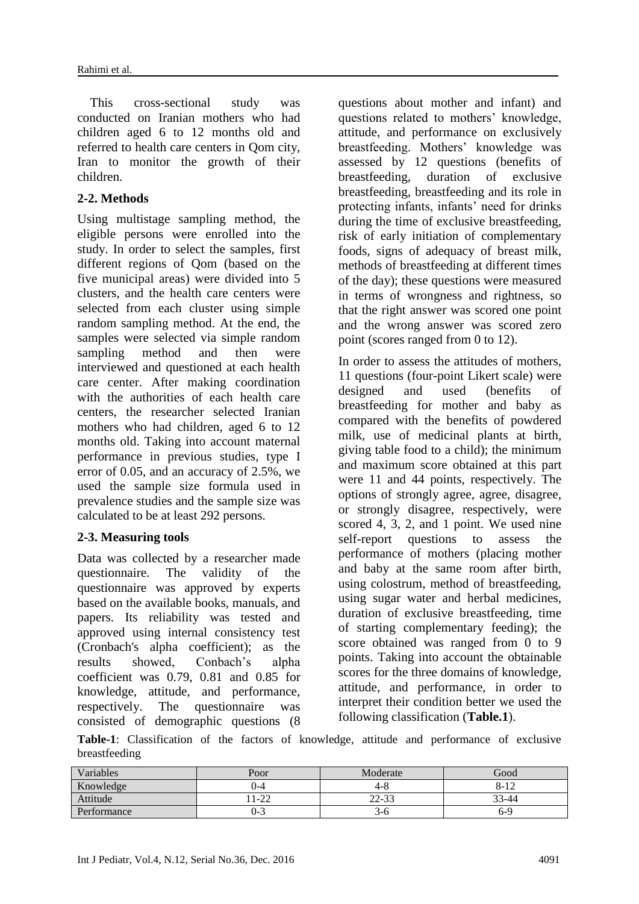This cross-sectional study was conducted on Iranian mothers who had children aged 6 to 12 months old and referred to health care centers in Qom city, Iran to monitor the growth of their children.

### **2-2. Methods**

Using multistage sampling method, the eligible persons were enrolled into the study. In order to select the samples, first different regions of Qom (based on the five municipal areas) were divided into 5 clusters, and the health care centers were selected from each cluster using simple random sampling method. At the end, the samples were selected via simple random sampling method and then were interviewed and questioned at each health care center. After making coordination with the authorities of each health care centers, the researcher selected Iranian mothers who had children, aged 6 to 12 months old. Taking into account maternal performance in previous studies, type I error of 0.05, and an accuracy of 2.5%, we used the sample size formula used in prevalence studies and the sample size was calculated to be at least 292 persons.

### **2-3. Measuring tools**

Data was collected by a researcher made questionnaire. The validity of the questionnaire was approved by experts based on the available books, manuals, and papers. Its reliability was tested and approved using internal consistency test (Cronbach's alpha coefficient); as the results showed, Conbach's alpha coefficient was 0.79, 0.81 and 0.85 for knowledge, attitude, and performance, respectively. The questionnaire was consisted of demographic questions (8 questions about mother and infant) and questions related to mothers' knowledge, attitude, and performance on exclusively breastfeeding. Mothers' knowledge was assessed by 12 questions (benefits of breastfeeding, duration of exclusive breastfeeding, breastfeeding and its role in protecting infants, infants' need for drinks during the time of exclusive breastfeeding, risk of early initiation of complementary foods, signs of adequacy of breast milk, methods of breastfeeding at different times of the day); these questions were measured in terms of wrongness and rightness, so that the right answer was scored one point and the wrong answer was scored zero point (scores ranged from 0 to 12).

In order to assess the attitudes of mothers, 11 questions (four-point Likert scale) were designed and used (benefits of breastfeeding for mother and baby as compared with the benefits of powdered milk, use of medicinal plants at birth, giving table food to a child); the minimum and maximum score obtained at this part were 11 and 44 points, respectively. The options of strongly agree, agree, disagree, or strongly disagree, respectively, were scored 4, 3, 2, and 1 point. We used nine self-report questions to assess the performance of mothers (placing mother and baby at the same room after birth, using colostrum, method of breastfeeding, using sugar water and herbal medicines, duration of exclusive breastfeeding, time of starting complementary feeding); the score obtained was ranged from 0 to 9 points. Taking into account the obtainable scores for the three domains of knowledge, attitude, and performance, in order to interpret their condition better we used the following classification (**Table.1**).

**Table-1**: Classification of the factors of knowledge, attitude and performance of exclusive breastfeeding

| Variables   | Poor              | Moderate | Good                     |
|-------------|-------------------|----------|--------------------------|
| Knowledge   | $J - 4$           | 4-8      | O<br>$\sqrt{10}$<br>0-12 |
| Attitude    | $1-22$            | 22-33    | 33-44                    |
| Performance | $\sqrt{2}$<br>U-3 | 3-0      | 6-9                      |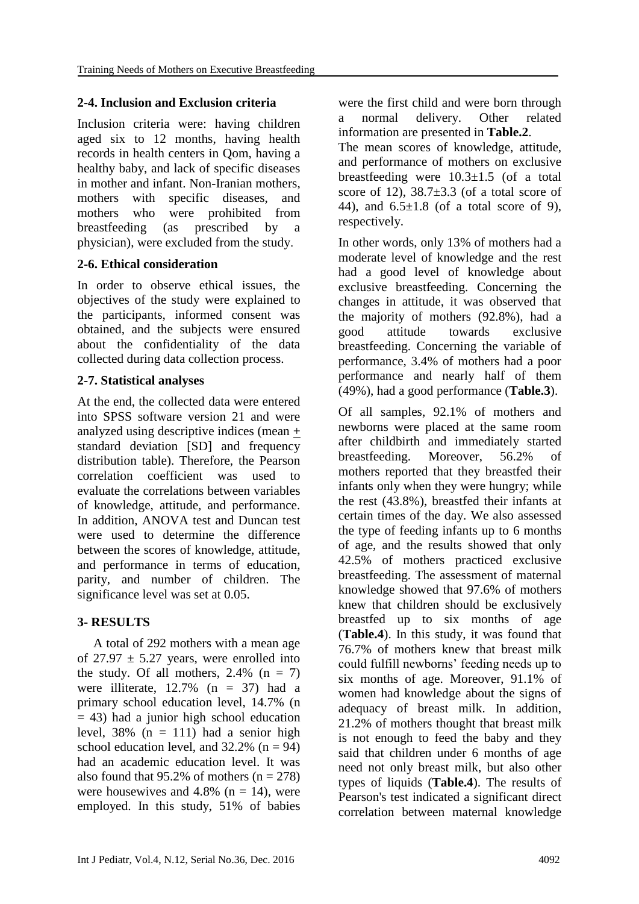### **2-4. Inclusion and Exclusion criteria**

Inclusion criteria were: having children aged six to 12 months, having health records in health centers in Qom, having a healthy baby, and lack of specific diseases in mother and infant. Non-Iranian mothers, mothers with specific diseases, and mothers who were prohibited from breastfeeding (as prescribed by a physician), were excluded from the study.

# **2-6. Ethical consideration**

In order to observe ethical issues, the objectives of the study were explained to the participants, informed consent was obtained, and the subjects were ensured about the confidentiality of the data collected during data collection process.

### **2-7. Statistical analyses**

At the end, the collected data were entered into SPSS software version 21 and were analyzed using descriptive indices (mean + standard deviation [SD] and frequency distribution table). Therefore, the Pearson correlation coefficient was used to evaluate the correlations between variables of knowledge, attitude, and performance. In addition, ANOVA test and Duncan test were used to determine the difference between the scores of knowledge, attitude, and performance in terms of education, parity, and number of children. The significance level was set at 0.05.

# **3- RESULTS**

 A total of 292 mothers with a mean age of  $27.97 \pm 5.27$  years, were enrolled into the study. Of all mothers,  $2.4\%$  (n = 7) were illiterate,  $12.7\%$  (n = 37) had a primary school education level, 14.7% (n  $= 43$ ) had a junior high school education level,  $38\%$  (n = 111) had a senior high school education level, and  $32.2\%$  (n = 94) had an academic education level. It was also found that 95.2% of mothers  $(n = 278)$ were housewives and 4.8% ( $n = 14$ ), were employed. In this study, 51% of babies were the first child and were born through a normal delivery. Other related information are presented in **Table.2**.

The mean scores of knowledge, attitude, and performance of mothers on exclusive breastfeeding were  $10.3 \pm 1.5$  (of a total score of 12),  $38.7 \pm 3.3$  (of a total score of 44), and  $6.5\pm1.8$  (of a total score of 9), respectively.

In other words, only 13% of mothers had a moderate level of knowledge and the rest had a good level of knowledge about exclusive breastfeeding. Concerning the changes in attitude, it was observed that the majority of mothers (92.8%), had a good attitude towards exclusive breastfeeding. Concerning the variable of performance, 3.4% of mothers had a poor performance and nearly half of them (49%), had a good performance (**Table.3**).

Of all samples, 92.1% of mothers and newborns were placed at the same room after childbirth and immediately started breastfeeding. Moreover, 56.2% of mothers reported that they breastfed their infants only when they were hungry; while the rest (43.8%), breastfed their infants at certain times of the day. We also assessed the type of feeding infants up to 6 months of age, and the results showed that only 42.5% of mothers practiced exclusive breastfeeding. The assessment of maternal knowledge showed that 97.6% of mothers knew that children should be exclusively breastfed up to six months of age (**Table.4**). In this study, it was found that 76.7% of mothers knew that breast milk could fulfill newborns' feeding needs up to six months of age. Moreover, 91.1% of women had knowledge about the signs of adequacy of breast milk. In addition, 21.2% of mothers thought that breast milk is not enough to feed the baby and they said that children under 6 months of age need not only breast milk, but also other types of liquids (**Table.4**). The results of Pearson's test indicated a significant direct correlation between maternal knowledge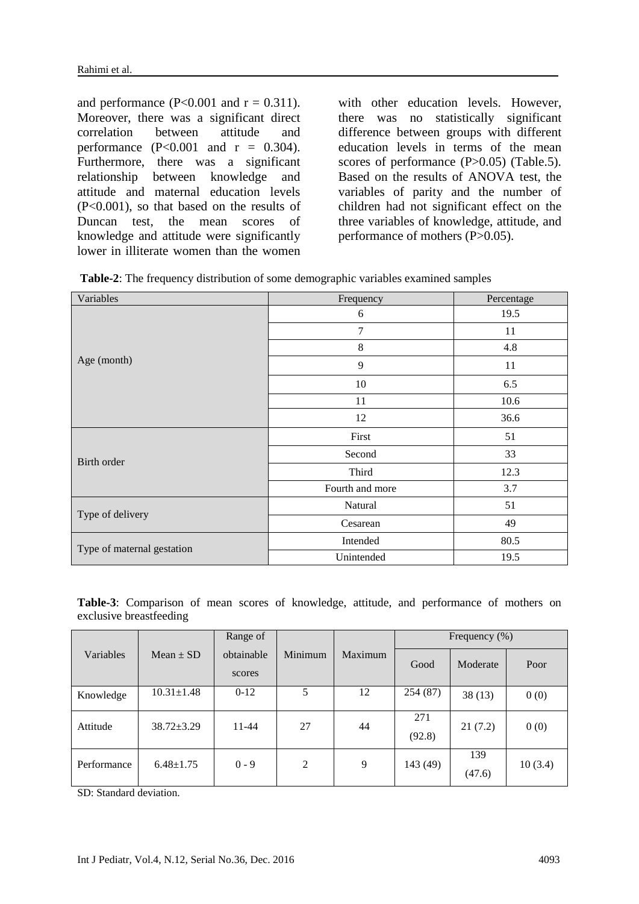and performance (P<0.001 and  $r = 0.311$ ). Moreover, there was a significant direct correlation between attitude and performance  $(P<0.001$  and  $r = 0.304$ ). Furthermore, there was a significant relationship between knowledge and attitude and maternal education levels (P<0.001), so that based on the results of Duncan test, the mean scores of knowledge and attitude were significantly lower in illiterate women than the women

with other education levels. However, there was no statistically significant difference between groups with different education levels in terms of the mean scores of performance (P>0.05) (Table.5). Based on the results of ANOVA test, the variables of parity and the number of children had not significant effect on the three variables of knowledge, attitude, and performance of mothers (P>0.05).

| Table-2: The frequency distribution of some demographic variables examined samples |  |  |  |  |
|------------------------------------------------------------------------------------|--|--|--|--|
|------------------------------------------------------------------------------------|--|--|--|--|

| Variables                  | Frequency       | Percentage |
|----------------------------|-----------------|------------|
|                            | 6               | 19.5       |
|                            | $\overline{7}$  | 11         |
|                            | 8               | 4.8        |
| Age (month)                | 9               | 11         |
|                            | 10              | 6.5        |
|                            | 11              | 10.6       |
|                            | 12              | 36.6       |
|                            | First           | 51         |
| Birth order                | Second          | 33         |
|                            | Third           | 12.3       |
|                            | Fourth and more | 3.7        |
|                            | Natural         | 51         |
| Type of delivery           | Cesarean        | 49         |
| Type of maternal gestation | Intended        | 80.5       |
|                            | Unintended      | 19.5       |

**Table-3**: Comparison of mean scores of knowledge, attitude, and performance of mothers on exclusive breastfeeding

|             |                  | Range of             |         |         | Frequency $(\%)$ |               |         |
|-------------|------------------|----------------------|---------|---------|------------------|---------------|---------|
| Variables   | $Mean \pm SD$    | obtainable<br>scores | Minimum | Maximum | Good             | Moderate      | Poor    |
| Knowledge   | $10.31 \pm 1.48$ | $0-12$               | 5       | 12      | 254 (87)         | 38(13)        | 0(0)    |
| Attitude    | $38.72 \pm 3.29$ | 11-44                | 27      | 44      | 271<br>(92.8)    | 21(7.2)       | 0(0)    |
| Performance | $6.48 \pm 1.75$  | $0 - 9$              | 2       | 9       | 143 (49)         | 139<br>(47.6) | 10(3.4) |

SD: Standard deviation.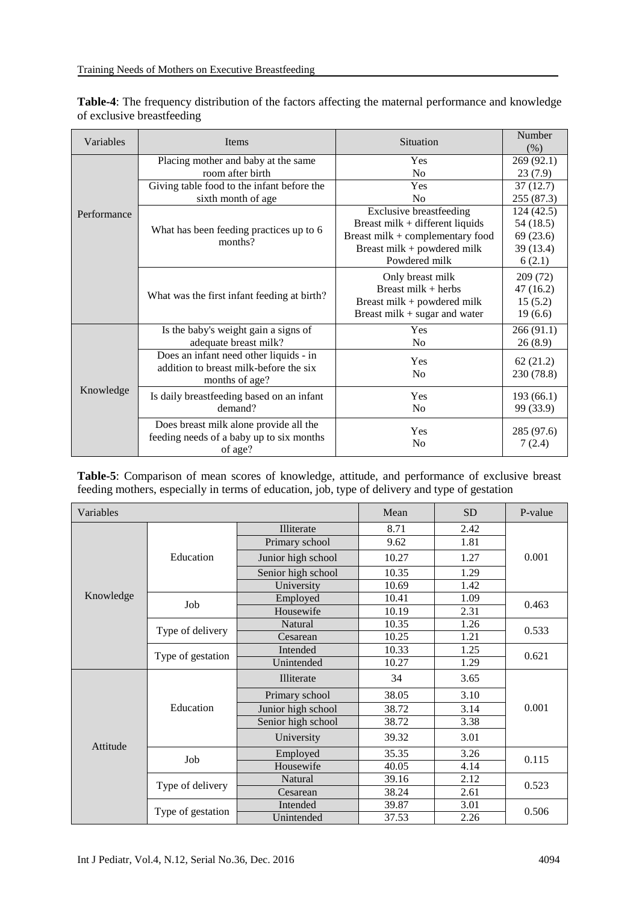| Variables   | Items                                       | Situation                         | Number<br>(% )       |
|-------------|---------------------------------------------|-----------------------------------|----------------------|
|             | Placing mother and baby at the same         | Yes                               | 269 (92.1)           |
|             | room after birth                            | No                                | 23(7.9)              |
|             | Giving table food to the infant before the  | Yes                               | 37(12.7)             |
|             | sixth month of age                          | N <sub>0</sub>                    | 255 (87.3)           |
| Performance |                                             | <b>Exclusive breastfeeding</b>    | 124(42.5)            |
|             | What has been feeding practices up to 6     | Breast milk $+$ different liquids | 54 (18.5)            |
|             | months?                                     | Breast milk + complementary food  | 69(23.6)             |
|             |                                             | Breast milk + powdered milk       | 39 (13.4)            |
|             |                                             | Powdered milk                     | 6(2.1)               |
|             |                                             | Only breast milk                  | 209 (72)             |
|             |                                             | Breast milk $+$ herbs             | 47(16.2)             |
|             | What was the first infant feeding at birth? | Breast milk + powdered milk       | 15(5.2)              |
|             |                                             | Breast milk $+$ sugar and water   | 19(6.6)              |
|             | Is the baby's weight gain a signs of        | Yes                               | 266(91.1)            |
|             | adequate breast milk?                       | No                                | 26(8.9)              |
|             | Does an infant need other liquids - in      | Yes                               | 62(21.2)             |
|             | addition to breast milk-before the six      | No                                | 230 (78.8)           |
|             | months of age?                              |                                   |                      |
| Knowledge   | Is daily breastfeeding based on an infant   | Yes                               | 193(66.1)            |
|             | demand?                                     | N <sub>0</sub>                    | 99 (33.9)            |
|             | Does breast milk alone provide all the      | Yes                               |                      |
|             | feeding needs of a baby up to six months    | N <sub>o</sub>                    | 285 (97.6)<br>7(2.4) |
|             | of age?                                     |                                   |                      |

**Table-4**: The frequency distribution of the factors affecting the maternal performance and knowledge of exclusive breastfeeding

**Table-5**: Comparison of mean scores of knowledge, attitude, and performance of exclusive breast feeding mothers, especially in terms of education, job, type of delivery and type of gestation

| Variables |                   |                    | Mean  | <b>SD</b> | P-value |  |
|-----------|-------------------|--------------------|-------|-----------|---------|--|
|           |                   | Illiterate         | 8.71  | 2.42      |         |  |
|           |                   | Primary school     | 9.62  | 1.81      | 0.001   |  |
|           | Education         | Junior high school | 10.27 | 1.27      |         |  |
|           |                   | Senior high school | 10.35 | 1.29      |         |  |
|           |                   | University         | 10.69 | 1.42      |         |  |
| Knowledge | Job               | Employed           | 10.41 | 1.09      | 0.463   |  |
|           |                   | Housewife          | 10.19 | 2.31      |         |  |
|           | Type of delivery  | Natural            | 10.35 | 1.26      | 0.533   |  |
|           |                   | Cesarean           | 10.25 | 1.21      |         |  |
|           | Type of gestation | Intended           | 10.33 | 1.25      | 0.621   |  |
|           |                   | Unintended         | 10.27 | 1.29      |         |  |
|           | Education         | Illiterate         | 34    | 3.65      | 0.001   |  |
|           |                   | Primary school     | 38.05 | 3.10      |         |  |
|           |                   | Junior high school | 38.72 | 3.14      |         |  |
|           |                   | Senior high school | 38.72 | 3.38      |         |  |
| Attitude  |                   | University         | 39.32 | 3.01      |         |  |
|           | Job               | Employed           | 35.35 | 3.26      |         |  |
|           |                   | Housewife          | 40.05 | 4.14      | 0.115   |  |
|           | Type of delivery  | Natural            | 39.16 | 2.12      | 0.523   |  |
|           |                   | Cesarean           | 38.24 | 2.61      |         |  |
|           | Type of gestation | Intended           | 39.87 | 3.01      |         |  |
|           |                   | Unintended         | 37.53 | 2.26      | 0.506   |  |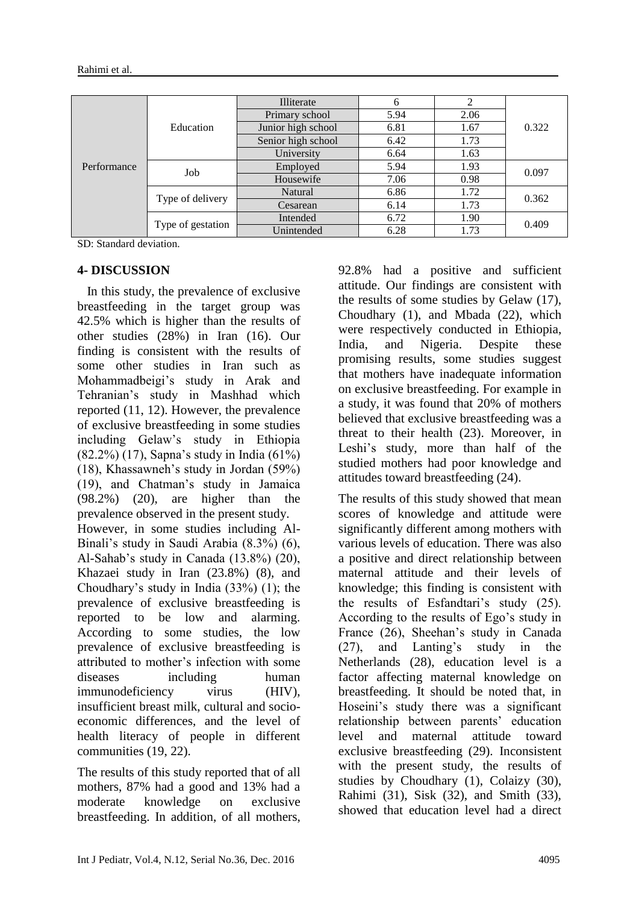| Performance | Education         | Illiterate         | 6    | 2    | 0.322 |
|-------------|-------------------|--------------------|------|------|-------|
|             |                   | Primary school     | 5.94 | 2.06 |       |
|             |                   | Junior high school | 6.81 | 1.67 |       |
|             |                   | Senior high school | 6.42 | 1.73 |       |
|             |                   | University         | 6.64 | 1.63 |       |
|             | Job               | Employed           | 5.94 | 1.93 | 0.097 |
|             |                   | Housewife          | 7.06 | 0.98 |       |
|             | Type of delivery  | Natural            | 6.86 | 1.72 | 0.362 |
|             |                   | Cesarean           | 6.14 | 1.73 |       |
|             | Type of gestation | Intended           | 6.72 | 1.90 | 0.409 |
|             |                   | Unintended         | 6.28 | 1.73 |       |

SD: Standard deviation.

#### **4- DISCUSSION**

 In this study, the prevalence of exclusive breastfeeding in the target group was 42.5% which is higher than the results of other studies (28%) in Iran (16). Our finding is consistent with the results of some other studies in Iran such as Mohammadbeigi's study in Arak and Tehranian's study in Mashhad which reported (11, 12). However, the prevalence of exclusive breastfeeding in some studies including Gelaw's study in Ethiopia (82.2%) (17), Sapna's study in India (61%) (18), Khassawneh's study in Jordan (59%) (19), and Chatman's study in Jamaica (98.2%) (20), are higher than the prevalence observed in the present study. However, in some studies including Al-Binali's study in Saudi Arabia (8.3%) (6), Al-Sahab's study in Canada (13.8%) (20), Khazaei study in Iran (23.8%) (8), and Choudhary's study in India (33%) (1); the prevalence of exclusive breastfeeding is reported to be low and alarming. According to some studies, the low prevalence of exclusive breastfeeding is attributed to mother's infection with some diseases including human immunodeficiency virus (HIV), insufficient breast milk, cultural and socioeconomic differences, and the level of health literacy of people in different communities (19, 22).

The results of this study reported that of all mothers, 87% had a good and 13% had a moderate knowledge on exclusive breastfeeding. In addition, of all mothers, 92.8% had a positive and sufficient attitude. Our findings are consistent with the results of some studies by Gelaw (17), Choudhary (1), and Mbada (22), which were respectively conducted in Ethiopia, India, and Nigeria. Despite these promising results, some studies suggest that mothers have inadequate information on exclusive breastfeeding. For example in a study, it was found that 20% of mothers believed that exclusive breastfeeding was a threat to their health (23). Moreover, in Leshi's study, more than half of the studied mothers had poor knowledge and attitudes toward breastfeeding (24).

The results of this study showed that mean scores of knowledge and attitude were significantly different among mothers with various levels of education. There was also a positive and direct relationship between maternal attitude and their levels of knowledge; this finding is consistent with the results of Esfandtari's study (25). According to the results of Ego's study in France (26), Sheehan's study in Canada (27), and Lanting's study in the Netherlands (28), education level is a factor affecting maternal knowledge on breastfeeding. It should be noted that, in Hoseini's study there was a significant relationship between parents' education level and maternal attitude toward exclusive breastfeeding (29). Inconsistent with the present study, the results of studies by Choudhary (1), Colaizy (30), Rahimi (31), Sisk (32), and Smith (33), showed that education level had a direct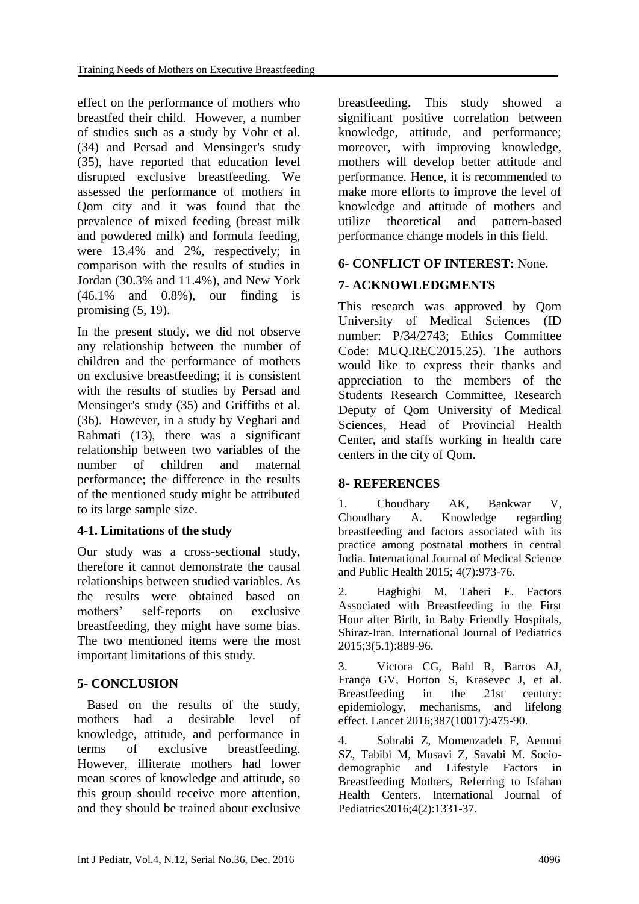effect on the performance of mothers who breastfed their child. However, a number of studies such as a study by Vohr et al. (34) and Persad and Mensinger's study (35), have reported that education level disrupted exclusive breastfeeding. We assessed the performance of mothers in Qom city and it was found that the prevalence of mixed feeding (breast milk and powdered milk) and formula feeding, were 13.4% and 2%, respectively; in comparison with the results of studies in Jordan (30.3% and 11.4%), and New York (46.1% and 0.8%), our finding is promising (5, 19).

In the present study, we did not observe any relationship between the number of children and the performance of mothers on exclusive breastfeeding; it is consistent with the results of studies by Persad and Mensinger's study (35) and Griffiths et al. (36). However, in a study by Veghari and Rahmati (13), there was a significant relationship between two variables of the number of children and maternal performance; the difference in the results of the mentioned study might be attributed to its large sample size.

# **4-1. Limitations of the study**

Our study was a cross-sectional study, therefore it cannot demonstrate the causal relationships between studied variables. As the results were obtained based on mothers' self-reports on exclusive breastfeeding, they might have some bias. The two mentioned items were the most important limitations of this study.

### **5- CONCLUSION**

 Based on the results of the study, mothers had a desirable level of knowledge, attitude, and performance in terms of exclusive breastfeeding. However, illiterate mothers had lower mean scores of knowledge and attitude, so this group should receive more attention, and they should be trained about exclusive breastfeeding. This study showed a significant positive correlation between knowledge, attitude, and performance; moreover, with improving knowledge, mothers will develop better attitude and performance. Hence, it is recommended to make more efforts to improve the level of knowledge and attitude of mothers and utilize theoretical and pattern-based performance change models in this field.

# **6- CONFLICT OF INTEREST:** None.

### **7- ACKNOWLEDGMENTS**

This research was approved by Qom University of Medical Sciences (ID number: P/34/2743; Ethics Committee Code: MUQ.REC2015.25). The authors would like to express their thanks and appreciation to the members of the Students Research Committee, Research Deputy of Qom University of Medical Sciences, Head of Provincial Health Center, and staffs working in health care centers in the city of Qom.

### **8- REFERENCES**

1. Choudhary AK, Bankwar V, Choudhary A. Knowledge regarding breastfeeding and factors associated with its practice among postnatal mothers in central India. International Journal of Medical Science and Public Health 2015; 4(7):973-76.

2. Haghighi M, Taheri E. Factors Associated with Breastfeeding in the First Hour after Birth, in Baby Friendly Hospitals, Shiraz-Iran. International Journal of Pediatrics 2015;3(5.1):889-96.

3. Victora CG, Bahl R, Barros AJ, França GV, Horton S, Krasevec J, et al. Breastfeeding in the 21st century: epidemiology, mechanisms, and lifelong effect. Lancet 2016;387(10017):475-90.

4. Sohrabi Z, Momenzadeh F, Aemmi SZ, Tabibi M, Musavi Z, Savabi M. Sociodemographic and Lifestyle Factors in Breastfeeding Mothers, Referring to Isfahan Health Centers. International Journal of Pediatrics2016;4(2):1331-37.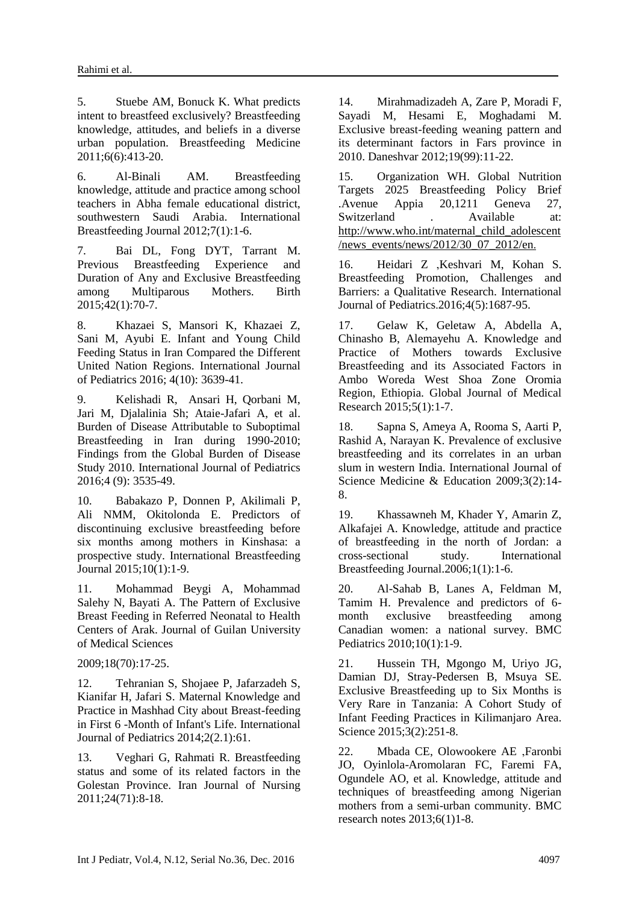5. Stuebe AM, Bonuck K. What predicts intent to breastfeed exclusively? Breastfeeding knowledge, attitudes, and beliefs in a diverse urban population. Breastfeeding Medicine 2011;6(6):413-20.

6. Al-Binali AM. Breastfeeding knowledge, attitude and practice among school teachers in Abha female educational district, southwestern Saudi Arabia. International Breastfeeding Journal 2012;7(1):1-6.

7. Bai DL, Fong DYT, Tarrant M. Previous Breastfeeding Experience and Duration of Any and Exclusive Breastfeeding among Multiparous Mothers. Birth 2015;42(1):70-7.

8. Khazaei S, Mansori K, Khazaei Z, Sani M, Ayubi E. Infant and Young Child Feeding Status in Iran Compared the Different United Nation Regions. International Journal of Pediatrics 2016; 4(10): 3639-41.

9. Kelishadi R, Ansari H, Qorbani M, Jari M, Djalalinia Sh; Ataie-Jafari A, et al. Burden of Disease Attributable to Suboptimal Breastfeeding in Iran during 1990-2010; Findings from the Global Burden of Disease Study 2010. International Journal of Pediatrics 2016;4 (9): 3535-49.

10. Babakazo P, Donnen P, Akilimali P, Ali NMM, Okitolonda E. Predictors of discontinuing exclusive breastfeeding before six months among mothers in Kinshasa: a prospective study. International Breastfeeding Journal 2015;10(1):1-9.

11. Mohammad Beygi A, Mohammad Salehy N, Bayati A. The Pattern of Exclusive Breast Feeding in Referred Neonatal to Health Centers of Arak. Journal of Guilan University of Medical Sciences

2009;18(70):17-25.

12. Tehranian S, Shojaee P, Jafarzadeh S, Kianifar H, Jafari S. Maternal Knowledge and Practice in Mashhad City about Breast-feeding in First 6 -Month of Infant's Life. International Journal of Pediatrics 2014;2(2.1):61.

13. Veghari G, Rahmati R. Breastfeeding status and some of its related factors in the Golestan Province. Iran Journal of Nursing 2011;24(71):8-18.

14. Mirahmadizadeh A, Zare P, Moradi F, Sayadi M, Hesami E, Moghadami M. Exclusive breast-feeding weaning pattern and its determinant factors in Fars province in 2010. Daneshvar 2012;19(99):11-22.

15. Organization WH. Global Nutrition Targets 2025 Breastfeeding Policy Brief .Avenue Appia 20,1211 Geneva 27, Switzerland . Available at: http://www.who.int/maternal\_child\_adolescent /news\_events/news/2012/30\_07\_2012/en.

16. Heidari Z ,Keshvari M, Kohan S. Breastfeeding Promotion, Challenges and Barriers: a Qualitative Research. International Journal of Pediatrics.2016;4(5):1687-95.

17. Gelaw K, Geletaw A, Abdella A, Chinasho B, Alemayehu A. Knowledge and Practice of Mothers towards Exclusive Breastfeeding and its Associated Factors in Ambo Woreda West Shoa Zone Oromia Region, Ethiopia. Global Journal of Medical Research 2015;5(1):1-7.

18. Sapna S, Ameya A, Rooma S, Aarti P, Rashid A, Narayan K. Prevalence of exclusive breastfeeding and its correlates in an urban slum in western India. International Journal of Science Medicine & Education 2009;3(2):14- 8.

19. Khassawneh M, Khader Y, Amarin Z, Alkafajei A. Knowledge, attitude and practice of breastfeeding in the north of Jordan: a cross-sectional study. International Breastfeeding Journal.2006;1(1):1-6.

20. Al-Sahab B, Lanes A, Feldman M, Tamim H. Prevalence and predictors of 6 month exclusive breastfeeding among Canadian women: a national survey. BMC Pediatrics 2010;10(1):1-9.

21. Hussein TH, Mgongo M, Uriyo JG, Damian DJ, Stray-Pedersen B, Msuya SE. Exclusive Breastfeeding up to Six Months is Very Rare in Tanzania: A Cohort Study of Infant Feeding Practices in Kilimanjaro Area. Science 2015;3(2):251-8.

22. Mbada CE, Olowookere AE ,Faronbi JO, Oyinlola-Aromolaran FC, Faremi FA, Ogundele AO, et al. Knowledge, attitude and techniques of breastfeeding among Nigerian mothers from a semi-urban community. BMC research notes 2013;6(1)1-8.